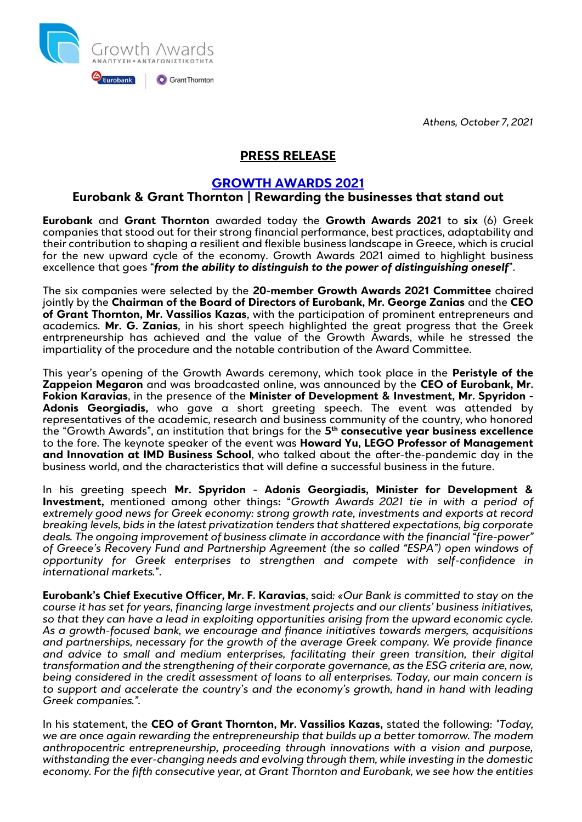*Athens, October 7, 2021*



## **PRESS RELEASE**

## **[GROWTH AWARDS 2021](https://www.growthawards.gr/)**

## **Eurobank & Grant Thornton | Rewarding the businesses that stand out**

**Eurobank** and **Grant Thornton** awarded today the **Growth Awards 2021** to **six** (6) Greek companies that stood out for their strong financial performance, best practices, adaptability and their contribution to shaping a resilient and flexible business landscape in Greece, which is crucial for the new upward cycle of the economy. Growth Awards 2021 aimed to highlight business excellence that goes "*from the ability to distinguish to the power of distinguishing oneself*".

The six companies were selected by the **20-member Growth Awards 2021 Committee** chaired jointly by the **Chairman of the Board of Directors of Eurobank, Mr. George Zanias** and the **CEO of Grant Thornton, Mr. Vassilios Kazas**, with the participation of prominent entrepreneurs and academics. **Mr. G. Zanias**, in his short speech highlighted the great progress that the Greek entrpreneurship has achieved and the value of the Growth Awards, while he stressed the impartiality of the procedure and the notable contribution of the Award Committee.

This year's opening of the Growth Awards ceremony, which took place in the **Peristyle of the Zappeion Megaron** and was broadcasted online, was announced by the **CEO of Eurobank, Mr. Fokion Karavias**, in the presence of the **Minister of Development & Investment, Mr. Spyridon - Adonis Georgiadis,** who gave a short greeting speech. The event was attended by representatives of the academic, research and business community of the country, who honored the "Growth Awards", an institution that brings for the **5 th consecutive year business excellence** to the fore. The keynote speaker of the event was **Howard Yu, LEGO Professor of Management and Innovation at IMD Business School**, who talked about the after-the-pandemic day in the business world, and the characteristics that will define a successful business in the future.

In his greeting speech **Mr. Spyridon - Adonis Georgiadis, Minister for Development & Investment,** mentioned among other things**:** "*Growth Awards 2021 tie in with a period of extremely good news for Greek economy: strong growth rate, investments and exports at record breaking levels, bids in the latest privatization tenders that shattered expectations, big corporate deals. The ongoing improvement of business climate in accordance with the financial "fire-power" of Greece's Recovery Fund and Partnership Agreement (the so called "ESPA") open windows of opportunity for Greek enterprises to strengthen and compete with self-confidence in international markets.*".

**Eurobank's Chief Executive Officer, Mr. F. Karavias**, said*: «Our Bank is committed to stay on the course it has set for years, financing large investment projects and our clients' business initiatives, so that they can have a lead in exploiting opportunities arising from the upward economic cycle. As a growth-focused bank, we encourage and finance initiatives towards mergers, acquisitions and partnerships, necessary for the growth of the average Greek company. We provide finance and advice to small and medium enterprises, facilitating their green transition, their digital transformation and the strengthening of their corporate governance, as the ESG criteria are, now, being considered in the credit assessment of loans to all enterprises. Today, our main concern is to support and accelerate the country's and the economy's growth, hand in hand with leading Greek companies.".*

In his statement, the **CEO of Grant Thornton, Mr. Vassilios Kazas,** stated the following: *"Today, we are once again rewarding the entrepreneurship that builds up a better tomorrow. The modern anthropocentric entrepreneurship, proceeding through innovations with a vision and purpose, withstanding the ever-changing needs and evolving through them, while investing in the domestic economy. For the fifth consecutive year, at Grant Thornton and Eurobank, we see how the entities*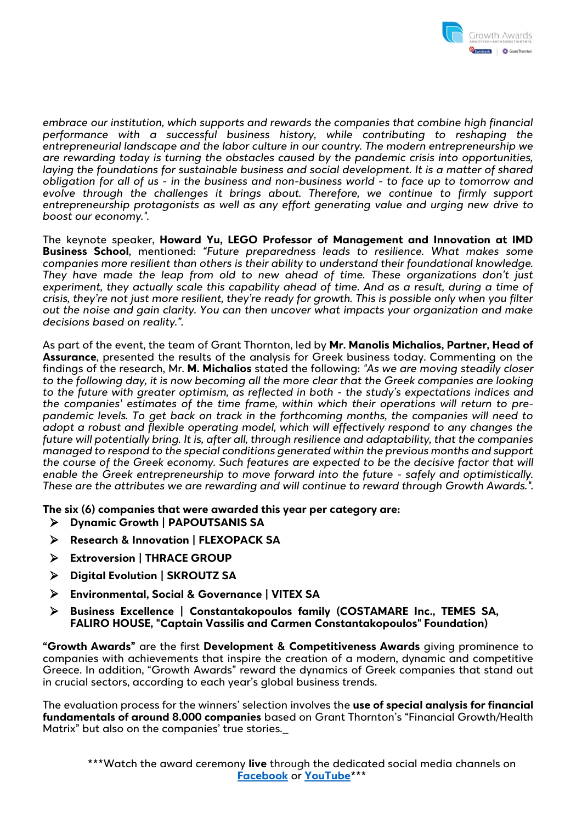

*embrace our institution, which supports and rewards the companies that combine high financial performance with a successful business history, while contributing to reshaping the entrepreneurial landscape and the labor culture in our country. The modern entrepreneurship we are rewarding today is turning the obstacles caused by the pandemic crisis into opportunities,*  laying the foundations for sustainable business and social development. It is a matter of shared *obligation for all of us - in the business and non-business world - to face up to tomorrow and evolve through the challenges it brings about. Therefore, we continue to firmly support entrepreneurship protagonists as well as any effort generating value and urging new drive to boost our economy.".*

The keynote speaker, **Howard Yu, LEGO Professor of Management and Innovation at IMD Business School**, mentioned: *"Future preparedness leads to resilience. What makes some companies more resilient than others is their ability to understand their foundational knowledge. They have made the leap from old to new ahead of time. These organizations don't just experiment, they actually scale this capability ahead of time. And as a result, during a time of crisis, they're not just more resilient, they're ready for growth. This is possible only when you filter out the noise and gain clarity. You can then uncover what impacts your organization and make decisions based on reality.".*

As part of the event, the team of Grant Thornton, led by **Mr. Manolis Michalios, Partner, Head of Assurance**, presented the results of the analysis for Greek business today. Commenting on the findings of the research, Mr. **M. Michalios** stated the following: *"As we are moving steadily closer to the following day, it is now becoming all the more clear that the Greek companies are looking to the future with greater optimism, as reflected in both - the study's expectations indices and the companies' estimates of the time frame, within which their operations will return to prepandemic levels. To get back on track in the forthcoming months, the companies will need to adopt a robust and flexible operating model, which will effectively respond to any changes the future will potentially bring. It is, after all, through resilience and adaptability, that the companies managed to respond to the special conditions generated within the previous months and support the course of the Greek economy. Such features are expected to be the decisive factor that will enable the Greek entrepreneurship to move forward into the future - safely and optimistically. These are the attributes we are rewarding and will continue to reward through Growth Awards.".*

**The six (6) companies that were awarded this year per category are:**

- **Dynamic Growth | PAPOUTSANIS SA**
- **Research & Innovation | FLEXOPACK SA**
- **Extroversion | THRACE GROUP**
- **Digital Evolution | SKROUTZ SA**
- **Environmental, Social & Governance | VITEX SA**
- **Business Excellence | Constantakopoulos family (COSTAMARE Inc., TEMES SA, FALIRO HOUSE, "Captain Vassilis and Carmen Constantakopoulos" Foundation)**

**"Growth Awards"** are the first **Development & Competitiveness Awards** giving prominence to companies with achievements that inspire the creation of a modern, dynamic and competitive Greece. In addition, "Growth Awards" reward the dynamics of Greek companies that stand out in crucial sectors, according to each year's global business trends.

The evaluation process for the winners' selection involves the **use of special analysis for financial fundamentals of around 8.000 companies** based on Grant Thornton's "Financial Growth/Health Matrix" but also on the companies' true stories.\_